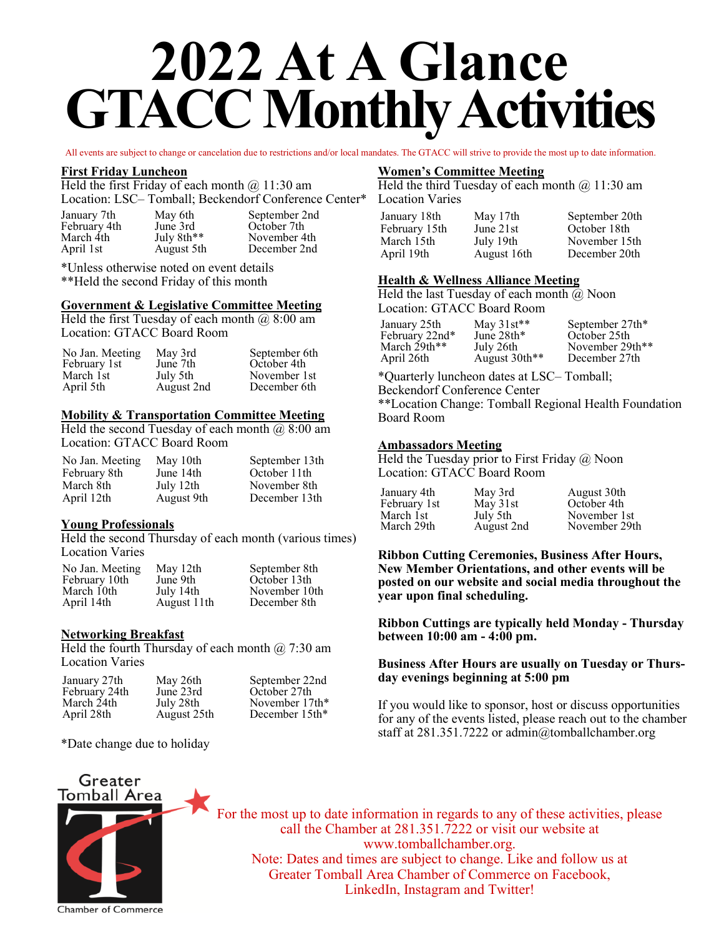# **2022 At A Glance GTACC Monthly Activities**

All events are subject to change or cancelation due to restrictions and/or local mandates. The GTACC will strive to provide the most up to date information.

#### **First Friday Luncheon**

Held the first Friday of each month  $\omega$  11:30 am Location: LSC– Tomball; Beckendorf Conference Center\*

| January 7th<br>February 4th | May 6th<br>June 3rd | September 2nd<br>October 7th |
|-----------------------------|---------------------|------------------------------|
| March 4th                   | July 8th**          | November 4th                 |
|                             |                     |                              |
| April 1st                   | August 5th          | December 2nd                 |
|                             |                     |                              |

\*Unless otherwise noted on event details \*\*Held the second Friday of this month

#### **Government & Legislative Committee Meeting**

Held the first Tuesday of each month  $\omega$  8:00 am Location: GTACC Board Room

| May 3rd    | September 6th |
|------------|---------------|
| June 7th   | October 4th   |
| July 5th   | November 1st  |
| August 2nd | December 6th  |
|            |               |

#### **Mobility & Transportation Committee Meeting**

Held the second Tuesday of each month  $\omega$  8:00 am Location: GTACC Board Room

| No Jan. Meeting | May 10th   | September 13th |
|-----------------|------------|----------------|
| February 8th    | June 14th  | October 11th   |
| March 8th       | July 12th  | November 8th   |
| April 12th      | August 9th | December 13th  |

#### **Young Professionals**

Held the second Thursday of each month (various times) Location Varies

| No Jan. Meeting | May 12th    | September 8th |
|-----------------|-------------|---------------|
| February 10th   | June 9th    | October 13th  |
| March 10th      | July 14th   | November 10th |
| April 14th      | August 11th | December 8th  |

#### **Networking Breakfast**

Held the fourth Thursday of each month  $(2, 7:30)$  am Location Varies

| January 27th  | May 26th    | September 22nd |
|---------------|-------------|----------------|
| February 24th | June 23rd   | October 27th   |
| March 24th    | July 28th   | November 17th* |
| April 28th    | August 25th | December 15th* |

\*Date change due to holiday

#### **Women's Committee Meeting**

Held the third Tuesday of each month  $\omega$  11:30 am Location Varies

January 18th February 15th March 15th April 19th May 17th June 21st July 19th August 16th September 20th October 18th November 15th December 20th

#### **Health & Wellness Alliance Meeting**

Held the last Tuesday of each month  $\overline{a}$  Noon Location: GTACC Board Room

> May 31st\*\* June 28th\* July 26th

January 25th February 22nd\* March 29th\*\* April 26th

August 30th\*\* September 27th\* October 25th November 29th\*\* December 27th

\*Quarterly luncheon dates at LSC– Tomball; Beckendorf Conference Center

\*\*Location Change: Tomball Regional Health Foundation Board Room

#### **Ambassadors Meeting**

Held the Tuesday prior to First Friday  $(a)$  Noon Location: GTACC Board Room

| January 4th  | May 3rd    | August 30th   |
|--------------|------------|---------------|
| February 1st | May 31st   | October 4th   |
| March 1st    | July 5th   | November 1st  |
| March 29th   | August 2nd | November 29th |

**Ribbon Cutting Ceremonies, Business After Hours, New Member Orientations, and other events will be posted on our website and social media throughout the year upon final scheduling.**

**Ribbon Cuttings are typically held Monday - Thursday between 10:00 am - 4:00 pm.** 

#### **Business After Hours are usually on Tuesday or Thursday evenings beginning at 5:00 pm**

If you would like to sponsor, host or discuss opportunities for any of the events listed, please reach out to the chamber staff at 281.351.7222 or admin@tomballchamber.org



For the most up to date information in regards to any of these activities, please call the Chamber at 281.351.7222 or visit our website at www.tomballchamber.org. Note: Dates and times are subject to change. Like and follow us at Greater Tomball Area Chamber of Commerce on Facebook, LinkedIn, Instagram and Twitter!